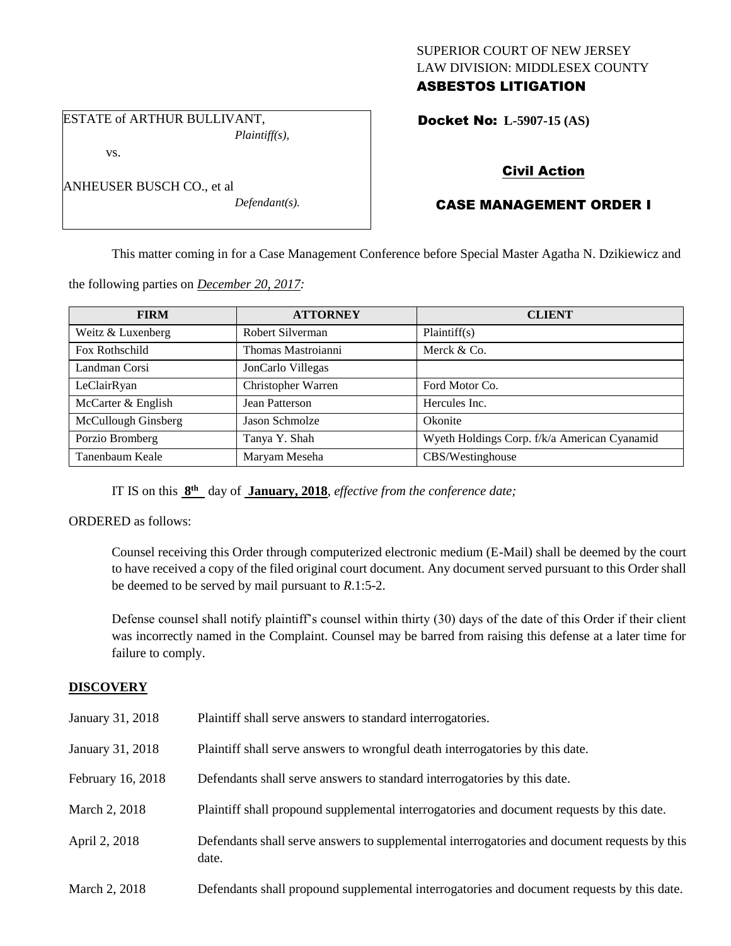## SUPERIOR COURT OF NEW JERSEY LAW DIVISION: MIDDLESEX COUNTY ASBESTOS LITIGATION

ESTATE of ARTHUR BULLIVANT, *Plaintiff(s),*

vs.

| ANHEUSER BUSCH CO., et al |                  |
|---------------------------|------------------|
|                           | $Defendant(s)$ . |

Docket No: **L-5907-15 (AS)** 

## Civil Action

# CASE MANAGEMENT ORDER I

This matter coming in for a Case Management Conference before Special Master Agatha N. Dzikiewicz and

the following parties on *December 20, 2017:*

| <b>FIRM</b>         | <b>ATTORNEY</b>    | <b>CLIENT</b>                                |
|---------------------|--------------------|----------------------------------------------|
| Weitz & Luxenberg   | Robert Silverman   | Plaintiff(s)                                 |
| Fox Rothschild      | Thomas Mastroianni | Merck & Co.                                  |
| Landman Corsi       | JonCarlo Villegas  |                                              |
| LeClairRyan         | Christopher Warren | Ford Motor Co.                               |
| McCarter & English  | Jean Patterson     | Hercules Inc.                                |
| McCullough Ginsberg | Jason Schmolze     | Okonite                                      |
| Porzio Bromberg     | Tanya Y. Shah      | Wyeth Holdings Corp. f/k/a American Cyanamid |
| Tanenbaum Keale     | Maryam Meseha      | CBS/Westinghouse                             |

IT IS on this **8 th** day of **January, 2018**, *effective from the conference date;*

ORDERED as follows:

Counsel receiving this Order through computerized electronic medium (E-Mail) shall be deemed by the court to have received a copy of the filed original court document. Any document served pursuant to this Order shall be deemed to be served by mail pursuant to *R*.1:5-2.

Defense counsel shall notify plaintiff's counsel within thirty (30) days of the date of this Order if their client was incorrectly named in the Complaint. Counsel may be barred from raising this defense at a later time for failure to comply.

## **DISCOVERY**

| January 31, 2018  | Plaintiff shall serve answers to standard interrogatories.                                            |
|-------------------|-------------------------------------------------------------------------------------------------------|
| January 31, 2018  | Plaintiff shall serve answers to wrongful death interrogatories by this date.                         |
| February 16, 2018 | Defendants shall serve answers to standard interrogatories by this date.                              |
| March 2, 2018     | Plaintiff shall propound supplemental interrogatories and document requests by this date.             |
| April 2, 2018     | Defendants shall serve answers to supplemental interrogatories and document requests by this<br>date. |
| March 2, 2018     | Defendants shall propound supplemental interrogatories and document requests by this date.            |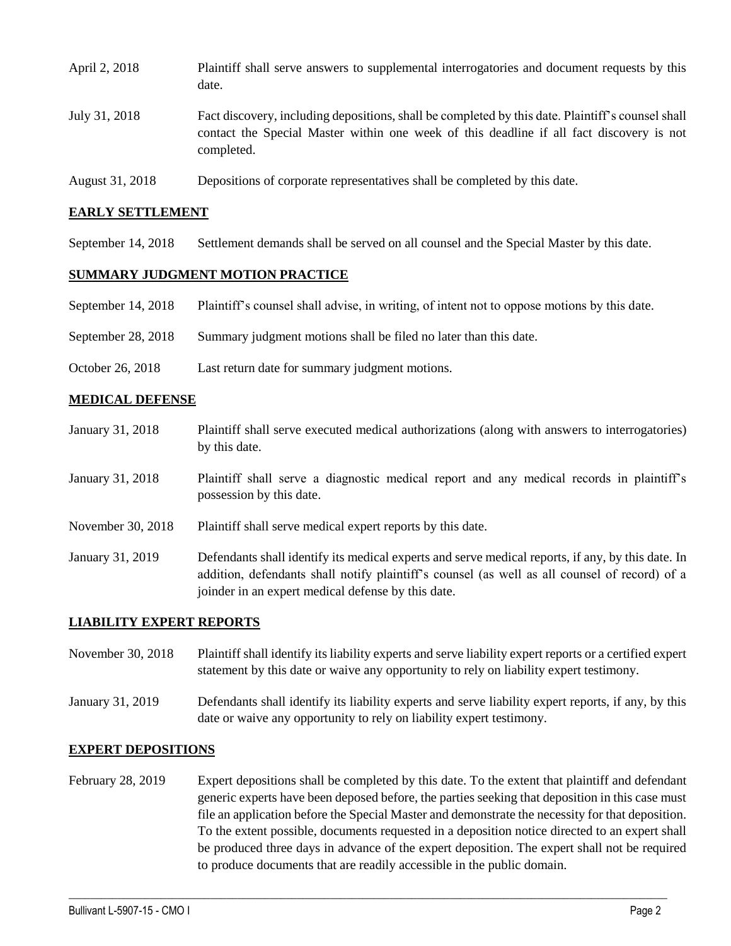| April 2, 2018   | Plaintiff shall serve answers to supplemental interrogatories and document requests by this<br>date.                                                                                                        |
|-----------------|-------------------------------------------------------------------------------------------------------------------------------------------------------------------------------------------------------------|
| July 31, 2018   | Fact discovery, including depositions, shall be completed by this date. Plaintiff's counsel shall<br>contact the Special Master within one week of this deadline if all fact discovery is not<br>completed. |
| August 31, 2018 | Depositions of corporate representatives shall be completed by this date.                                                                                                                                   |

# **EARLY SETTLEMENT**

September 14, 2018 Settlement demands shall be served on all counsel and the Special Master by this date.

#### **SUMMARY JUDGMENT MOTION PRACTICE**

- September 14, 2018 Plaintiff's counsel shall advise, in writing, of intent not to oppose motions by this date.
- September 28, 2018 Summary judgment motions shall be filed no later than this date.
- October 26, 2018 Last return date for summary judgment motions.

#### **MEDICAL DEFENSE**

January 31, 2018 Plaintiff shall serve executed medical authorizations (along with answers to interrogatories) by this date. January 31, 2018 Plaintiff shall serve a diagnostic medical report and any medical records in plaintiff's possession by this date. November 30, 2018 Plaintiff shall serve medical expert reports by this date. January 31, 2019 Defendants shall identify its medical experts and serve medical reports, if any, by this date. In addition, defendants shall notify plaintiff's counsel (as well as all counsel of record) of a joinder in an expert medical defense by this date.

#### **LIABILITY EXPERT REPORTS**

November 30, 2018 Plaintiff shall identify its liability experts and serve liability expert reports or a certified expert statement by this date or waive any opportunity to rely on liability expert testimony.

January 31, 2019 Defendants shall identify its liability experts and serve liability expert reports, if any, by this date or waive any opportunity to rely on liability expert testimony.

#### **EXPERT DEPOSITIONS**

February 28, 2019 Expert depositions shall be completed by this date. To the extent that plaintiff and defendant generic experts have been deposed before, the parties seeking that deposition in this case must file an application before the Special Master and demonstrate the necessity for that deposition. To the extent possible, documents requested in a deposition notice directed to an expert shall be produced three days in advance of the expert deposition. The expert shall not be required to produce documents that are readily accessible in the public domain.

 $\_$  ,  $\_$  ,  $\_$  ,  $\_$  ,  $\_$  ,  $\_$  ,  $\_$  ,  $\_$  ,  $\_$  ,  $\_$  ,  $\_$  ,  $\_$  ,  $\_$  ,  $\_$  ,  $\_$  ,  $\_$  ,  $\_$  ,  $\_$  ,  $\_$  ,  $\_$  ,  $\_$  ,  $\_$  ,  $\_$  ,  $\_$  ,  $\_$  ,  $\_$  ,  $\_$  ,  $\_$  ,  $\_$  ,  $\_$  ,  $\_$  ,  $\_$  ,  $\_$  ,  $\_$  ,  $\_$  ,  $\_$  ,  $\_$  ,